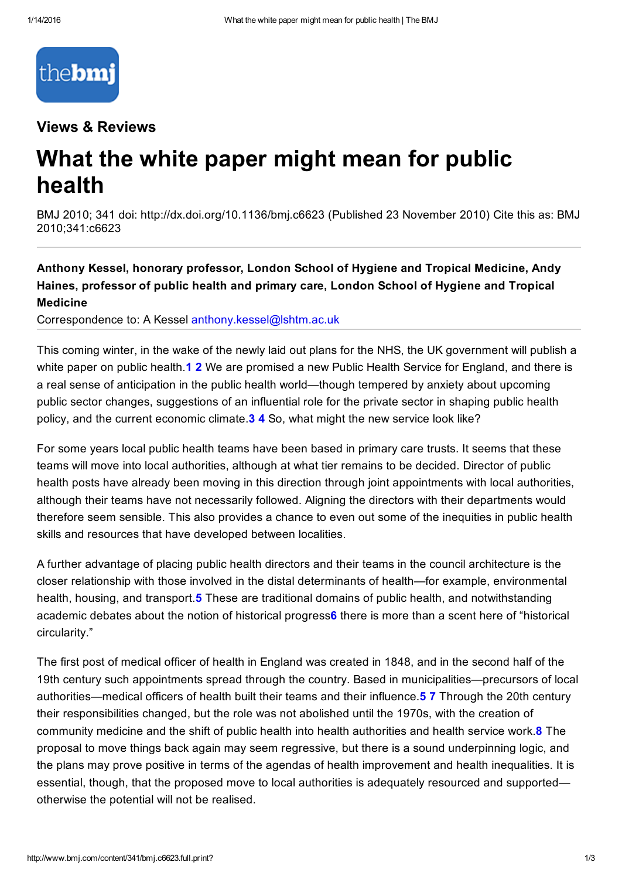

#### Views & Reviews

# What the white paper might mean for public health

BMJ 2010; 341 doi: http://dx.doi.org/10.1136/bmj.c6623 (Published 23 November 2010) Cite this as: BMJ 2010;341:c6623

Anthony Kessel, honorary professor, London School of Hygiene and Tropical Medicine, Andy Haines, professor of public health and primary care, London School of Hygiene and Tropical Medicine

Correspondence to: A Kessel [anthony.kessel@lshtm.ac.uk](mailto:anthony.kessel@lshtm.ac.uk)

This coming winter, in the wake of the newly laid out plans for the NHS, the UK government will publish a white paper on public health.1 2 We are promised a new Public Health Service for England, and there is a real sense of anticipation in the public health world—though tempered by anxiety about upcoming public sector changes, suggestions of an influential role for the private sector in shaping public health policy, and the current economic climate. 3 4 So, what might the new service look like?

For some years local public health teams have been based in primary care trusts. It seems that these teams will move into local authorities, although at what tier remains to be decided. Director of public health posts have already been moving in this direction through joint appointments with local authorities, although their teams have not necessarily followed. Aligning the directors with their departments would therefore seem sensible. This also provides a chance to even out some of the inequities in public health skills and resources that have developed between localities.

A further advantage of placing public health directors and their teams in the council architecture is the closer relationship with those involved in the distal determinants of health—for example, environmental health, housing, and transport.5 These are traditional domains of public health, and notwithstanding academic debates about the notion of historical progress6 there is more than a scent here of "historical circularity."

The first post of medical officer of health in England was created in 1848, and in the second half of the 19th century such appointments spread through the country. Based in municipalities—precursors of local authorities—medical officers of health built their teams and their influence. **5 7** Through the 20th century their responsibilities changed, but the role was not abolished until the 1970s, with the creation of community medicine and the shift of public health into health authorities and health service work.8 The proposal to move things back again may seem regressive, but there is a sound underpinning logic, and the plans may prove positive in terms of the agendas of health improvement and health inequalities. It is essential, though, that the proposed move to local authorities is adequately resourced and supported otherwise the potential will not be realised.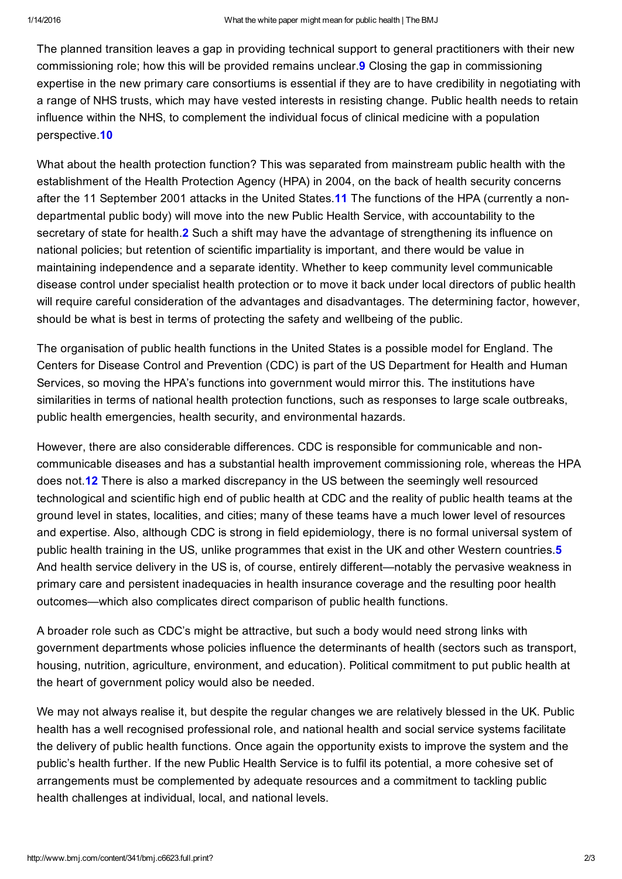The planned transition leaves a gap in providing technical support to general practitioners with their new commissioning role; how this will be provided remains unclear.9 Closing the gap in commissioning expertise in the new primary care consortiums is essential if they are to have credibility in negotiating with a range of NHS trusts, which may have vested interests in resisting change. Public health needs to retain influence within the NHS, to complement the individual focus of clinical medicine with a population perspective.10

What about the health protection function? This was separated from mainstream public health with the establishment of the Health Protection Agency (HPA) in 2004, on the back of health security concerns after the 11 September 2001 attacks in the United States.11 The functions of the HPA (currently a nondepartmental public body) will move into the new Public Health Service, with accountability to the secretary of state for health.<sup>2</sup> Such a shift may have the advantage of strengthening its influence on national policies; but retention of scientific impartiality is important, and there would be value in maintaining independence and a separate identity. Whether to keep community level communicable disease control under specialist health protection or to move it back under local directors of public health will require careful consideration of the advantages and disadvantages. The determining factor, however, should be what is best in terms of protecting the safety and wellbeing of the public.

The organisation of public health functions in the United States is a possible model for England. The Centers for Disease Control and Prevention (CDC) is part of the US Department for Health and Human Services, so moving the HPA's functions into government would mirror this. The institutions have similarities in terms of national health protection functions, such as responses to large scale outbreaks, public health emergencies, health security, and environmental hazards.

However, there are also considerable differences. CDC is responsible for communicable and noncommunicable diseases and has a substantial health improvement commissioning role, whereas the HPA does not.12 There is also a marked discrepancy in the US between the seemingly well resourced technological and scientific high end of public health at CDC and the reality of public health teams at the ground level in states, localities, and cities; many of these teams have a much lower level of resources and expertise. Also, although CDC is strong in field epidemiology, there is no formal universal system of public health training in the US, unlike programmes that exist in the UK and other Western countries.<sup>5</sup> And health service delivery in the US is, of course, entirely different—notably the pervasive weakness in primary care and persistent inadequacies in health insurance coverage and the resulting poor health outcomes—which also complicates direct comparison of public health functions.

A broader role such as CDC's might be attractive, but such a body would need strong links with government departments whose policies influence the determinants of health (sectors such as transport, housing, nutrition, agriculture, environment, and education). Political commitment to put public health at the heart of government policy would also be needed.

We may not always realise it, but despite the regular changes we are relatively blessed in the UK. Public health has a well recognised professional role, and national health and social service systems facilitate the delivery of public health functions. Once again the opportunity exists to improve the system and the public's health further. If the new Public Health Service is to fulfil its potential, a more cohesive set of arrangements must be complemented by adequate resources and a commitment to tackling public health challenges at individual, local, and national levels.